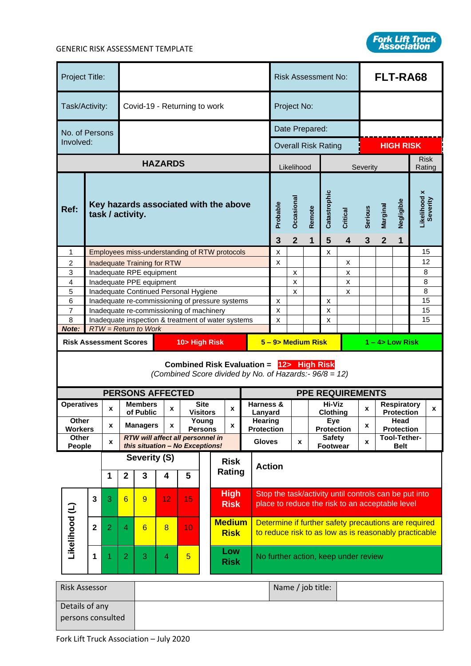

| Project Title:                                                                                     |                         |                    |                                                           |                                                                   |                   |                |                          |                                                            |                              |             | <b>Risk Assessment No:</b>                                                                                    |                                                                                                          |                     |                            |                                  | FLT-RA68                 |                           |             |                             |        |
|----------------------------------------------------------------------------------------------------|-------------------------|--------------------|-----------------------------------------------------------|-------------------------------------------------------------------|-------------------|----------------|--------------------------|------------------------------------------------------------|------------------------------|-------------|---------------------------------------------------------------------------------------------------------------|----------------------------------------------------------------------------------------------------------|---------------------|----------------------------|----------------------------------|--------------------------|---------------------------|-------------|-----------------------------|--------|
| Task/Activity:                                                                                     |                         |                    |                                                           | Covid-19 - Returning to work                                      |                   |                |                          |                                                            | Project No:                  |             |                                                                                                               |                                                                                                          |                     |                            |                                  |                          |                           |             |                             |        |
| No. of Persons                                                                                     |                         |                    |                                                           |                                                                   |                   |                |                          |                                                            |                              |             | Date Prepared:                                                                                                |                                                                                                          |                     |                            |                                  |                          |                           |             |                             |        |
| Involved:                                                                                          |                         |                    |                                                           |                                                                   |                   |                |                          |                                                            |                              |             |                                                                                                               |                                                                                                          |                     |                            | <b>Overall Risk Rating</b>       |                          |                           |             | <b>HIGH RISK</b>            |        |
|                                                                                                    |                         |                    |                                                           |                                                                   | <b>HAZARDS</b>    |                |                          |                                                            |                              |             |                                                                                                               |                                                                                                          | Likelihood          |                            |                                  |                          | Severity                  | <b>Risk</b> |                             | Rating |
| Ref:                                                                                               |                         |                    | Key hazards associated with the above<br>task / activity. |                                                                   |                   |                |                          | Probable<br>3                                              | Occasional<br>$\overline{2}$ | Remote<br>1 | Catastrophic<br>5                                                                                             | Critical<br>$\overline{\mathbf{4}}$                                                                      | <b>Serious</b><br>3 | Marginal<br>$\overline{2}$ | Negligible<br>1                  | Likelihood x<br>Severity |                           |             |                             |        |
| 1                                                                                                  |                         |                    |                                                           | Employees miss-understanding of RTW protocols                     |                   |                |                          |                                                            |                              |             |                                                                                                               | x                                                                                                        |                     |                            | x                                |                          |                           |             |                             | 15     |
| 2                                                                                                  |                         |                    |                                                           | <b>Inadequate Training for RTW</b>                                |                   |                |                          |                                                            |                              |             |                                                                                                               | x                                                                                                        |                     |                            |                                  | x                        |                           |             |                             | 12     |
| 3                                                                                                  |                         |                    |                                                           | Inadequate RPE equipment                                          |                   |                |                          |                                                            |                              |             |                                                                                                               |                                                                                                          | х                   |                            |                                  | х                        |                           |             |                             | 8      |
| 4<br>5                                                                                             |                         |                    |                                                           | Inadequate PPE equipment<br>Inadequate Continued Personal Hygiene |                   |                |                          |                                                            |                              |             |                                                                                                               |                                                                                                          | X<br>x              |                            |                                  | x<br>x                   |                           |             |                             | 8<br>8 |
| 6                                                                                                  |                         |                    |                                                           | Inadequate re-commissioning of pressure systems                   |                   |                |                          |                                                            |                              |             |                                                                                                               | X                                                                                                        |                     |                            | x                                |                          |                           |             |                             | 15     |
| 7                                                                                                  |                         |                    |                                                           | Inadequate re-commissioning of machinery                          |                   |                |                          |                                                            |                              |             |                                                                                                               | х                                                                                                        |                     |                            | х                                |                          |                           |             |                             | 15     |
| 8                                                                                                  |                         |                    |                                                           | Inadequate inspection & treatment of water systems                |                   |                |                          |                                                            |                              |             |                                                                                                               | x                                                                                                        |                     |                            | x                                |                          |                           |             |                             | 15     |
| Note:                                                                                              |                         |                    |                                                           | $RTW = Return to Work$                                            |                   |                |                          |                                                            |                              |             |                                                                                                               |                                                                                                          |                     |                            |                                  |                          |                           |             |                             |        |
| 10> High Risk<br><b>Risk Assessment Scores</b>                                                     |                         |                    |                                                           |                                                                   |                   |                | 5 - 9> Medium Risk       |                                                            |                              |             |                                                                                                               | $1 - 4$ Low Risk                                                                                         |                     |                            |                                  |                          |                           |             |                             |        |
| Combined Risk Evaluation = 12> High Risk<br>(Combined Score divided by No. of Hazards:- 96/8 = 12) |                         |                    |                                                           |                                                                   |                   |                |                          |                                                            |                              |             |                                                                                                               |                                                                                                          |                     |                            |                                  |                          |                           |             |                             |        |
|                                                                                                    |                         |                    |                                                           | <b>PERSONS AFFECTED</b>                                           |                   |                |                          |                                                            |                              |             |                                                                                                               |                                                                                                          |                     |                            |                                  | <b>PPE REQUIREMENTS</b>  |                           |             |                             |        |
| <b>Operatives</b>                                                                                  |                         | X                  |                                                           | <b>Members</b>                                                    | X                 |                | <b>Site</b>              |                                                            | X                            |             | Harness &                                                                                                     | Hi-Viz<br><b>Respiratory</b><br>X<br>X                                                                   |                     |                            |                                  |                          |                           |             |                             |        |
| Other                                                                                              |                         |                    |                                                           | of Public                                                         |                   |                | <b>Visitors</b><br>Young |                                                            |                              |             | Lanyard<br>Hearing                                                                                            |                                                                                                          |                     |                            | <b>Clothing</b><br>Eye           |                          | <b>Protection</b><br>Head |             |                             |        |
| <b>Workers</b>                                                                                     |                         | X                  |                                                           | <b>Managers</b>                                                   | X                 | <b>Persons</b> |                          |                                                            | X                            |             | <b>Protection</b><br><b>Protection</b>                                                                        |                                                                                                          |                     |                            | X<br><b>Protection</b>           |                          |                           |             |                             |        |
| <b>Other</b><br>People                                                                             |                         | $\pmb{\mathsf{x}}$ |                                                           | RTW will affect all personnel in                                  |                   |                |                          |                                                            |                              |             | <b>Gloves</b>                                                                                                 |                                                                                                          | X                   |                            | <b>Safety</b><br><b>Footwear</b> |                          | x                         |             | Tool-Tether-<br><b>Belt</b> |        |
| this situation - No Exceptions!<br>Severity (S)<br><b>Risk</b>                                     |                         |                    |                                                           |                                                                   |                   |                |                          |                                                            |                              |             |                                                                                                               |                                                                                                          |                     |                            |                                  |                          |                           |             |                             |        |
|                                                                                                    |                         | 1                  | $\mathbf{2}$                                              | 3                                                                 | 4                 | 5              |                          | Rating                                                     |                              |             | <b>Action</b>                                                                                                 |                                                                                                          |                     |                            |                                  |                          |                           |             |                             |        |
|                                                                                                    | 3                       | 3                  | $6\overline{6}$                                           | 9                                                                 | 12                | 15             |                          | <b>High</b><br><b>Risk</b><br><b>Medium</b><br><b>Risk</b> |                              |             |                                                                                                               | Stop the task/activity until controls can be put into<br>place to reduce the risk to an acceptable level |                     |                            |                                  |                          |                           |             |                             |        |
| Likelihood (L)                                                                                     | $\overline{\mathbf{2}}$ | $\overline{2}$     | $\overline{4}$                                            | 6                                                                 | $\overline{8}$    | 10             |                          |                                                            |                              |             | Determine if further safety precautions are required<br>to reduce risk to as low as is reasonably practicable |                                                                                                          |                     |                            |                                  |                          |                           |             |                             |        |
|                                                                                                    | 1                       | 1                  | $\overline{2}$                                            | 3                                                                 | $\overline{4}$    | $\overline{5}$ |                          | Low<br><b>Risk</b>                                         |                              |             |                                                                                                               | No further action, keep under review                                                                     |                     |                            |                                  |                          |                           |             |                             |        |
| <b>Risk Assessor</b>                                                                               |                         |                    |                                                           |                                                                   | Name / job title: |                |                          |                                                            |                              |             |                                                                                                               |                                                                                                          |                     |                            |                                  |                          |                           |             |                             |        |

| <b>Risk Assessor</b> | Name / job title: |  |
|----------------------|-------------------|--|
| Details of any       |                   |  |
| persons consulted    |                   |  |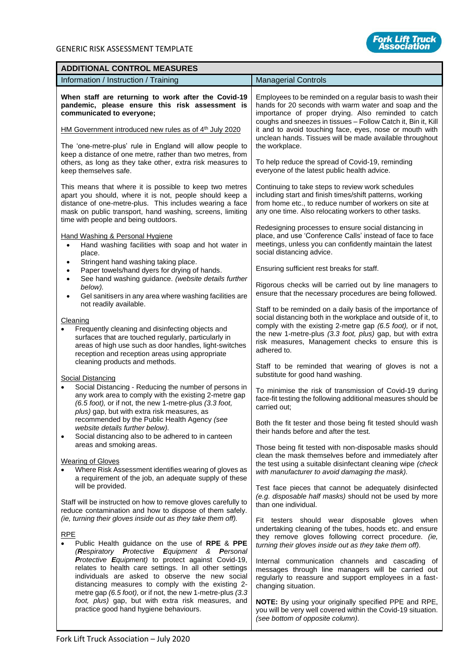

| <b>ADDITIONAL CONTROL MEASURES</b>                                                                                                                                                                                                                                                                                                                                                                                                                                                                                                                                                                                                                                                                           |                                                                                                                                                                                                                                                                                                                                                                                                                                                                                                                                                                                                                                                                          |  |  |  |  |
|--------------------------------------------------------------------------------------------------------------------------------------------------------------------------------------------------------------------------------------------------------------------------------------------------------------------------------------------------------------------------------------------------------------------------------------------------------------------------------------------------------------------------------------------------------------------------------------------------------------------------------------------------------------------------------------------------------------|--------------------------------------------------------------------------------------------------------------------------------------------------------------------------------------------------------------------------------------------------------------------------------------------------------------------------------------------------------------------------------------------------------------------------------------------------------------------------------------------------------------------------------------------------------------------------------------------------------------------------------------------------------------------------|--|--|--|--|
| Information / Instruction / Training                                                                                                                                                                                                                                                                                                                                                                                                                                                                                                                                                                                                                                                                         | <b>Managerial Controls</b>                                                                                                                                                                                                                                                                                                                                                                                                                                                                                                                                                                                                                                               |  |  |  |  |
| When staff are returning to work after the Covid-19<br>pandemic, please ensure this risk assessment is<br>communicated to everyone;<br>HM Government introduced new rules as of 4 <sup>th</sup> July 2020                                                                                                                                                                                                                                                                                                                                                                                                                                                                                                    | Employees to be reminded on a regular basis to wash their<br>hands for 20 seconds with warm water and soap and the<br>importance of proper drying. Also reminded to catch<br>coughs and sneezes in tissues - Follow Catch it, Bin it, Kill<br>it and to avoid touching face, eyes, nose or mouth with<br>unclean hands. Tissues will be made available throughout                                                                                                                                                                                                                                                                                                        |  |  |  |  |
| The 'one-metre-plus' rule in England will allow people to<br>keep a distance of one metre, rather than two metres, from<br>others, as long as they take other, extra risk measures to<br>keep themselves safe.                                                                                                                                                                                                                                                                                                                                                                                                                                                                                               | the workplace.<br>To help reduce the spread of Covid-19, reminding<br>everyone of the latest public health advice.                                                                                                                                                                                                                                                                                                                                                                                                                                                                                                                                                       |  |  |  |  |
| This means that where it is possible to keep two metres<br>apart you should, where it is not, people should keep a<br>distance of one-metre-plus. This includes wearing a face<br>mask on public transport, hand washing, screens, limiting<br>time with people and being outdoors.                                                                                                                                                                                                                                                                                                                                                                                                                          | Continuing to take steps to review work schedules<br>including start and finish times/shift patterns, working<br>from home etc., to reduce number of workers on site at<br>any one time. Also relocating workers to other tasks.                                                                                                                                                                                                                                                                                                                                                                                                                                         |  |  |  |  |
| Hand Washing & Personal Hygiene<br>Hand washing facilities with soap and hot water in<br>$\bullet$<br>place.<br>Stringent hand washing taking place.<br>$\bullet$                                                                                                                                                                                                                                                                                                                                                                                                                                                                                                                                            | Redesigning processes to ensure social distancing in<br>place, and use 'Conference Calls' instead of face to face<br>meetings, unless you can confidently maintain the latest<br>social distancing advice.                                                                                                                                                                                                                                                                                                                                                                                                                                                               |  |  |  |  |
| Paper towels/hand dyers for drying of hands.<br>٠<br>See hand washing guidance. (website details further<br>$\bullet$<br>below).<br>Gel sanitisers in any area where washing facilities are<br>$\bullet$                                                                                                                                                                                                                                                                                                                                                                                                                                                                                                     | Ensuring sufficient rest breaks for staff.<br>Rigorous checks will be carried out by line managers to<br>ensure that the necessary procedures are being followed.                                                                                                                                                                                                                                                                                                                                                                                                                                                                                                        |  |  |  |  |
| not readily available.<br>Cleaning<br>Frequently cleaning and disinfecting objects and<br>$\bullet$<br>surfaces that are touched regularly, particularly in<br>areas of high use such as door handles, light-switches<br>reception and reception areas using appropriate<br>cleaning products and methods.                                                                                                                                                                                                                                                                                                                                                                                                   | Staff to be reminded on a daily basis of the importance of<br>social distancing both in the workplace and outside of it, to<br>comply with the existing 2-metre gap (6.5 foot), or if not,<br>the new 1-metre-plus (3.3 foot, plus) gap, but with extra<br>risk measures, Management checks to ensure this is<br>adhered to.<br>Staff to be reminded that wearing of gloves is not a                                                                                                                                                                                                                                                                                     |  |  |  |  |
| <b>Social Distancing</b><br>Social Distancing - Reducing the number of persons in<br>$\bullet$<br>any work area to comply with the existing 2-metre gap<br>(6.5 foot), or if not, the new 1-metre-plus (3.3 foot,<br>plus) gap, but with extra risk measures, as<br>recommended by the Public Health Agency (see<br>website details further below).                                                                                                                                                                                                                                                                                                                                                          | substitute for good hand washing.<br>To minimise the risk of transmission of Covid-19 during<br>face-fit testing the following additional measures should be<br>carried out:<br>Both the fit tester and those being fit tested should wash<br>their hands before and after the test.                                                                                                                                                                                                                                                                                                                                                                                     |  |  |  |  |
| Social distancing also to be adhered to in canteen<br>areas and smoking areas.<br><b>Wearing of Gloves</b><br>Where Risk Assessment identifies wearing of gloves as<br>a requirement of the job, an adequate supply of these<br>will be provided.                                                                                                                                                                                                                                                                                                                                                                                                                                                            | Those being fit tested with non-disposable masks should<br>clean the mask themselves before and immediately after<br>the test using a suitable disinfectant cleaning wipe (check<br>with manufacturer to avoid damaging the mask).<br>Test face pieces that cannot be adequately disinfected                                                                                                                                                                                                                                                                                                                                                                             |  |  |  |  |
| Staff will be instructed on how to remove gloves carefully to<br>reduce contamination and how to dispose of them safely.<br>(ie, turning their gloves inside out as they take them off).<br><b>RPE</b><br>Public Health guidance on the use of RPE & PPE<br>$\bullet$<br>(Respiratory Protective Equipment & Personal<br>Protective Equipment) to protect against Covid-19,<br>relates to health care settings. In all other settings<br>individuals are asked to observe the new social<br>distancing measures to comply with the existing 2-<br>metre gap (6.5 foot), or if not, the new 1-metre-plus (3.3<br>foot, plus) gap, but with extra risk measures, and<br>practice good hand hygiene behaviours. | (e.g. disposable half masks) should not be used by more<br>than one individual.<br>Fit testers should wear disposable gloves when<br>undertaking cleaning of the tubes, hoods etc. and ensure<br>they remove gloves following correct procedure. (ie,<br>turning their gloves inside out as they take them off).<br>Internal communication channels and cascading of<br>messages through line managers will be carried out<br>regularly to reassure and support employees in a fast-<br>changing situation.<br>NOTE: By using your originally specified PPE and RPE,<br>you will be very well covered within the Covid-19 situation.<br>(see bottom of opposite column). |  |  |  |  |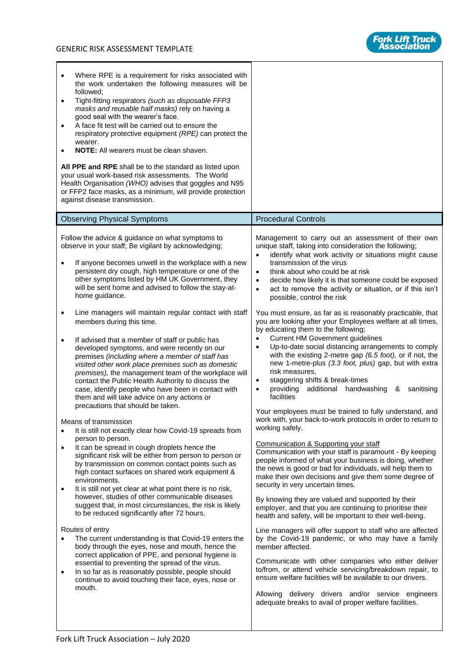

| Where RPE is a requirement for risks associated with<br>$\bullet$<br>the work undertaken the following measures will be<br>followed;<br>Tight-fitting respirators (such as disposable FFP3<br>$\bullet$<br>masks and reusable half masks) rely on having a<br>good seal with the wearer's face.<br>A face fit test will be carried out to ensure the<br>$\bullet$<br>respiratory protective equipment (RPE) can protect the<br>wearer.<br><b>NOTE:</b> All wearers must be clean shaven.<br>$\bullet$<br>All PPE and RPE shall be to the standard as listed upon<br>your usual work-based risk assessments. The World<br>Health Organisation (WHO) advises that goggles and N95<br>or FFP2 face masks, as a minimum, will provide protection<br>against disease transmission.                                                                                                                                                                                                                                                                                                                                                                                                                                                                                                                                                                                                                                                                                                                                                                                                                                                                                                                                                                                                                                                                                                                                                                                        |                                                                                                                                                                                                                                                                                                                                                                                                                                                                                                                                                                                                                                                                                                                                                                                                                                                                                                                                                                                                                                                                                                                                                                                                                                                                                                                                                                                                                                                                                                                                                                                                                                                                                                                                                                                                                                                                                                                                                                                                                                                           |
|----------------------------------------------------------------------------------------------------------------------------------------------------------------------------------------------------------------------------------------------------------------------------------------------------------------------------------------------------------------------------------------------------------------------------------------------------------------------------------------------------------------------------------------------------------------------------------------------------------------------------------------------------------------------------------------------------------------------------------------------------------------------------------------------------------------------------------------------------------------------------------------------------------------------------------------------------------------------------------------------------------------------------------------------------------------------------------------------------------------------------------------------------------------------------------------------------------------------------------------------------------------------------------------------------------------------------------------------------------------------------------------------------------------------------------------------------------------------------------------------------------------------------------------------------------------------------------------------------------------------------------------------------------------------------------------------------------------------------------------------------------------------------------------------------------------------------------------------------------------------------------------------------------------------------------------------------------------------|-----------------------------------------------------------------------------------------------------------------------------------------------------------------------------------------------------------------------------------------------------------------------------------------------------------------------------------------------------------------------------------------------------------------------------------------------------------------------------------------------------------------------------------------------------------------------------------------------------------------------------------------------------------------------------------------------------------------------------------------------------------------------------------------------------------------------------------------------------------------------------------------------------------------------------------------------------------------------------------------------------------------------------------------------------------------------------------------------------------------------------------------------------------------------------------------------------------------------------------------------------------------------------------------------------------------------------------------------------------------------------------------------------------------------------------------------------------------------------------------------------------------------------------------------------------------------------------------------------------------------------------------------------------------------------------------------------------------------------------------------------------------------------------------------------------------------------------------------------------------------------------------------------------------------------------------------------------------------------------------------------------------------------------------------------------|
| <b>Observing Physical Symptoms</b>                                                                                                                                                                                                                                                                                                                                                                                                                                                                                                                                                                                                                                                                                                                                                                                                                                                                                                                                                                                                                                                                                                                                                                                                                                                                                                                                                                                                                                                                                                                                                                                                                                                                                                                                                                                                                                                                                                                                   | <b>Procedural Controls</b>                                                                                                                                                                                                                                                                                                                                                                                                                                                                                                                                                                                                                                                                                                                                                                                                                                                                                                                                                                                                                                                                                                                                                                                                                                                                                                                                                                                                                                                                                                                                                                                                                                                                                                                                                                                                                                                                                                                                                                                                                                |
| Follow the advice & guidance on what symptoms to<br>observe in your staff; Be vigilant by acknowledging;<br>If anyone becomes unwell in the workplace with a new<br>$\bullet$<br>persistent dry cough, high temperature or one of the<br>other symptoms listed by HM UK Government, they<br>will be sent home and advised to follow the stay-at-<br>home guidance.<br>Line managers will maintain regular contact with staff<br>$\bullet$<br>members during this time.<br>If advised that a member of staff or public has<br>$\bullet$<br>developed symptoms, and were recently on our<br>premises (including where a member of staff has<br>visited other work place premises such as domestic<br>premises), the management team of the workplace will<br>contact the Public Health Authority to discuss the<br>case, identify people who have been in contact with<br>them and will take advice on any actions or<br>precautions that should be taken.<br>Means of transmission<br>It is still not exactly clear how Covid-19 spreads from<br>$\bullet$<br>person to person.<br>It can be spread in cough droplets hence the<br>$\bullet$<br>significant risk will be either from person to person or<br>by transmission on common contact points such as<br>high contact surfaces on shared work equipment &<br>environments.<br>It is still not yet clear at what point there is no risk,<br>$\bullet$<br>however, studies of other communicable diseases<br>suggest that, in most circumstances, the risk is likely<br>to be reduced significantly after 72 hours.<br>Routes of entry<br>The current understanding is that Covid-19 enters the<br>$\bullet$<br>body through the eyes, nose and mouth, hence the<br>correct application of PPE, and personal hygiene is<br>essential to preventing the spread of the virus.<br>In so far as is reasonably possible, people should<br>$\bullet$<br>continue to avoid touching their face, eyes, nose or<br>mouth. | Management to carry out an assessment of their own<br>unique staff, taking into consideration the following;<br>identify what work activity or situations might cause<br>$\bullet$<br>transmission of the virus<br>think about who could be at risk<br>$\bullet$<br>decide how likely it is that someone could be exposed<br>$\bullet$<br>act to remove the activity or situation, or if this isn't<br>$\bullet$<br>possible, control the risk<br>You must ensure, as far as is reasonably practicable, that<br>you are looking after your Employees welfare at all times,<br>by educating them to the following;<br><b>Current HM Government guidelines</b><br>$\bullet$<br>Up-to-date social distancing arrangements to comply<br>$\bullet$<br>with the existing 2-metre gap (6.5 foot), or if not, the<br>new 1-metre-plus (3.3 foot, plus) gap, but with extra<br>risk measures.<br>staggering shifts & break-times<br>$\bullet$<br>providing additional handwashing & sanitising<br>$\bullet$<br>facilities<br>Your employees must be trained to fully understand, and<br>work with, your back-to-work protocols in order to return to<br>working safely.<br>Communication & Supporting your staff<br>Communication with your staff is paramount - By keeping<br>people informed of what your business is doing, whether<br>the news is good or bad for individuals, will help them to<br>make their own decisions and give them some degree of<br>security in very uncertain times.<br>By knowing they are valued and supported by their<br>employer, and that you are continuing to prioritise their<br>health and safety, will be important to their well-being.<br>Line managers will offer support to staff who are affected<br>by the Covid-19 pandemic, or who may have a family<br>member affected.<br>Communicate with other companies who either deliver<br>to/from, or attend vehicle servicing/breakdown repair, to<br>ensure welfare facilities will be available to our drivers.<br>Allowing delivery drivers and/or service engineers |
|                                                                                                                                                                                                                                                                                                                                                                                                                                                                                                                                                                                                                                                                                                                                                                                                                                                                                                                                                                                                                                                                                                                                                                                                                                                                                                                                                                                                                                                                                                                                                                                                                                                                                                                                                                                                                                                                                                                                                                      | adequate breaks to avail of proper welfare facilities.                                                                                                                                                                                                                                                                                                                                                                                                                                                                                                                                                                                                                                                                                                                                                                                                                                                                                                                                                                                                                                                                                                                                                                                                                                                                                                                                                                                                                                                                                                                                                                                                                                                                                                                                                                                                                                                                                                                                                                                                    |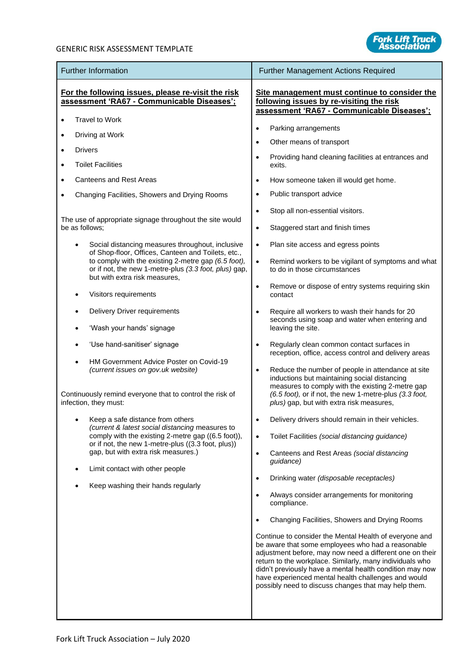

| <b>Further Information</b>                                                                                                                    | <b>Further Management Actions Required</b>                                                                                                                                                                                                                                                                                                                                                                     |  |  |  |  |
|-----------------------------------------------------------------------------------------------------------------------------------------------|----------------------------------------------------------------------------------------------------------------------------------------------------------------------------------------------------------------------------------------------------------------------------------------------------------------------------------------------------------------------------------------------------------------|--|--|--|--|
| For the following issues, please re-visit the risk<br>assessment 'RA67 - Communicable Diseases';                                              | Site management must continue to consider the<br>following issues by re-visiting the risk<br>assessment 'RA67 - Communicable Diseases';                                                                                                                                                                                                                                                                        |  |  |  |  |
| <b>Travel to Work</b>                                                                                                                         |                                                                                                                                                                                                                                                                                                                                                                                                                |  |  |  |  |
| Driving at Work                                                                                                                               | Parking arrangements<br>$\bullet$<br>Other means of transport<br>$\bullet$                                                                                                                                                                                                                                                                                                                                     |  |  |  |  |
| <b>Drivers</b><br>$\bullet$                                                                                                                   | Providing hand cleaning facilities at entrances and<br>$\bullet$                                                                                                                                                                                                                                                                                                                                               |  |  |  |  |
| <b>Toilet Facilities</b><br>$\bullet$                                                                                                         | exits.                                                                                                                                                                                                                                                                                                                                                                                                         |  |  |  |  |
| <b>Canteens and Rest Areas</b>                                                                                                                | How someone taken ill would get home.<br>$\bullet$                                                                                                                                                                                                                                                                                                                                                             |  |  |  |  |
| Changing Facilities, Showers and Drying Rooms                                                                                                 | Public transport advice<br>$\bullet$                                                                                                                                                                                                                                                                                                                                                                           |  |  |  |  |
|                                                                                                                                               | Stop all non-essential visitors.<br>$\bullet$                                                                                                                                                                                                                                                                                                                                                                  |  |  |  |  |
| The use of appropriate signage throughout the site would<br>be as follows;                                                                    | Staggered start and finish times<br>$\bullet$                                                                                                                                                                                                                                                                                                                                                                  |  |  |  |  |
| Social distancing measures throughout, inclusive<br>of Shop-floor, Offices, Canteen and Toilets, etc.,                                        | Plan site access and egress points<br>$\bullet$                                                                                                                                                                                                                                                                                                                                                                |  |  |  |  |
| to comply with the existing 2-metre gap (6.5 foot),<br>or if not, the new 1-metre-plus (3.3 foot, plus) gap,<br>but with extra risk measures, | $\bullet$<br>Remind workers to be vigilant of symptoms and what<br>to do in those circumstances                                                                                                                                                                                                                                                                                                                |  |  |  |  |
| Visitors requirements                                                                                                                         | Remove or dispose of entry systems requiring skin<br>$\bullet$<br>contact                                                                                                                                                                                                                                                                                                                                      |  |  |  |  |
| Delivery Driver requirements                                                                                                                  | Require all workers to wash their hands for 20<br>$\bullet$                                                                                                                                                                                                                                                                                                                                                    |  |  |  |  |
| 'Wash your hands' signage                                                                                                                     | seconds using soap and water when entering and<br>leaving the site.                                                                                                                                                                                                                                                                                                                                            |  |  |  |  |
| 'Use hand-sanitiser' signage                                                                                                                  | Regularly clean common contact surfaces in<br>$\bullet$<br>reception, office, access control and delivery areas                                                                                                                                                                                                                                                                                                |  |  |  |  |
| HM Government Advice Poster on Covid-19<br>(current issues on gov.uk website)                                                                 | Reduce the number of people in attendance at site<br>$\bullet$<br>inductions but maintaining social distancing<br>measures to comply with the existing 2-metre gap                                                                                                                                                                                                                                             |  |  |  |  |
| Continuously remind everyone that to control the risk of<br>infection, they must:                                                             | (6.5 foot), or if not, the new 1-metre-plus (3.3 foot,<br>plus) gap, but with extra risk measures,                                                                                                                                                                                                                                                                                                             |  |  |  |  |
| Keep a safe distance from others<br>(current & latest social distancing measures to                                                           | Delivery drivers should remain in their vehicles.                                                                                                                                                                                                                                                                                                                                                              |  |  |  |  |
| comply with the existing 2-metre gap ((6.5 foot)),<br>or if not, the new 1-metre-plus ((3.3 foot, plus))                                      | Toilet Facilities (social distancing guidance)<br>$\bullet$                                                                                                                                                                                                                                                                                                                                                    |  |  |  |  |
| gap, but with extra risk measures.)                                                                                                           | Canteens and Rest Areas (social distancing<br>$\bullet$<br>guidance)                                                                                                                                                                                                                                                                                                                                           |  |  |  |  |
| Limit contact with other people                                                                                                               | Drinking water (disposable receptacles)<br>$\bullet$                                                                                                                                                                                                                                                                                                                                                           |  |  |  |  |
| Keep washing their hands regularly                                                                                                            | Always consider arrangements for monitoring<br>$\bullet$<br>compliance.                                                                                                                                                                                                                                                                                                                                        |  |  |  |  |
|                                                                                                                                               | Changing Facilities, Showers and Drying Rooms<br>$\bullet$                                                                                                                                                                                                                                                                                                                                                     |  |  |  |  |
|                                                                                                                                               | Continue to consider the Mental Health of everyone and<br>be aware that some employees who had a reasonable<br>adjustment before, may now need a different one on their<br>return to the workplace. Similarly, many individuals who<br>didn't previously have a mental health condition may now<br>have experienced mental health challenges and would<br>possibly need to discuss changes that may help them. |  |  |  |  |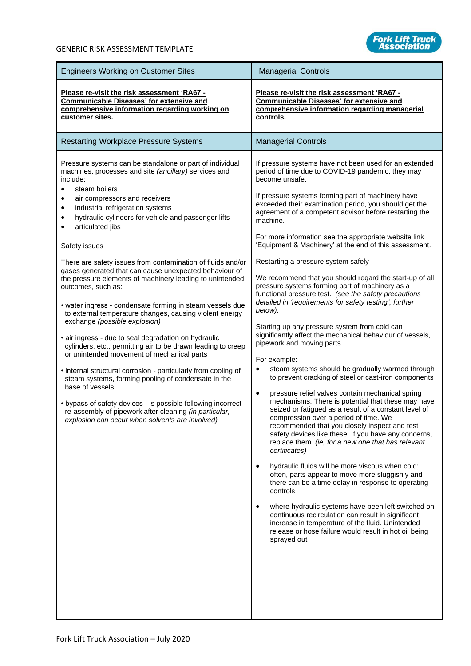

| <b>Engineers Working on Customer Sites</b>                                                                                                                                                                                                                                                                                                                                                                                                                                                                                                                                                                                                                                                                                                                                                                                                                                                                                                                                                                                                                                                                                                                                                          | <b>Managerial Controls</b>                                                                                                                                                                                                                                                                                                                                                                                                                                                                                                                                                                                                                                                                                                                                                                                                                                                                                                                                                                                                                                                                                                                                                                                                                                                                                                                                                                                                                                                                                                                                                                                                                                                                                                                                                                                                                                         |
|-----------------------------------------------------------------------------------------------------------------------------------------------------------------------------------------------------------------------------------------------------------------------------------------------------------------------------------------------------------------------------------------------------------------------------------------------------------------------------------------------------------------------------------------------------------------------------------------------------------------------------------------------------------------------------------------------------------------------------------------------------------------------------------------------------------------------------------------------------------------------------------------------------------------------------------------------------------------------------------------------------------------------------------------------------------------------------------------------------------------------------------------------------------------------------------------------------|--------------------------------------------------------------------------------------------------------------------------------------------------------------------------------------------------------------------------------------------------------------------------------------------------------------------------------------------------------------------------------------------------------------------------------------------------------------------------------------------------------------------------------------------------------------------------------------------------------------------------------------------------------------------------------------------------------------------------------------------------------------------------------------------------------------------------------------------------------------------------------------------------------------------------------------------------------------------------------------------------------------------------------------------------------------------------------------------------------------------------------------------------------------------------------------------------------------------------------------------------------------------------------------------------------------------------------------------------------------------------------------------------------------------------------------------------------------------------------------------------------------------------------------------------------------------------------------------------------------------------------------------------------------------------------------------------------------------------------------------------------------------------------------------------------------------------------------------------------------------|
| Please re-visit the risk assessment 'RA67 -<br><b>Communicable Diseases' for extensive and</b><br>comprehensive information regarding working on<br>customer sites.                                                                                                                                                                                                                                                                                                                                                                                                                                                                                                                                                                                                                                                                                                                                                                                                                                                                                                                                                                                                                                 | Please re-visit the risk assessment 'RA67 -<br><b>Communicable Diseases' for extensive and</b><br>comprehensive information regarding managerial<br>controls.                                                                                                                                                                                                                                                                                                                                                                                                                                                                                                                                                                                                                                                                                                                                                                                                                                                                                                                                                                                                                                                                                                                                                                                                                                                                                                                                                                                                                                                                                                                                                                                                                                                                                                      |
| <b>Restarting Workplace Pressure Systems</b>                                                                                                                                                                                                                                                                                                                                                                                                                                                                                                                                                                                                                                                                                                                                                                                                                                                                                                                                                                                                                                                                                                                                                        | <b>Managerial Controls</b>                                                                                                                                                                                                                                                                                                                                                                                                                                                                                                                                                                                                                                                                                                                                                                                                                                                                                                                                                                                                                                                                                                                                                                                                                                                                                                                                                                                                                                                                                                                                                                                                                                                                                                                                                                                                                                         |
| Pressure systems can be standalone or part of individual<br>machines, processes and site (ancillary) services and<br>include:<br>steam boilers<br>air compressors and receivers<br>industrial refrigeration systems<br>٠<br>hydraulic cylinders for vehicle and passenger lifts<br>6<br>articulated jibs<br><b>Safety issues</b><br>There are safety issues from contamination of fluids and/or<br>gases generated that can cause unexpected behaviour of<br>the pressure elements of machinery leading to unintended<br>outcomes, such as:<br>• water ingress - condensate forming in steam vessels due<br>to external temperature changes, causing violent energy<br>exchange (possible explosion)<br>• air ingress - due to seal degradation on hydraulic<br>cylinders, etc., permitting air to be drawn leading to creep<br>or unintended movement of mechanical parts<br>• internal structural corrosion - particularly from cooling of<br>steam systems, forming pooling of condensate in the<br>base of vessels<br>• bypass of safety devices - is possible following incorrect<br>re-assembly of pipework after cleaning (in particular,<br>explosion can occur when solvents are involved) | If pressure systems have not been used for an extended<br>period of time due to COVID-19 pandemic, they may<br>become unsafe.<br>If pressure systems forming part of machinery have<br>exceeded their examination period, you should get the<br>agreement of a competent advisor before restarting the<br>machine.<br>For more information see the appropriate website link<br>'Equipment & Machinery' at the end of this assessment.<br>Restarting a pressure system safely<br>We recommend that you should regard the start-up of all<br>pressure systems forming part of machinery as a<br>functional pressure test. (see the safety precautions<br>detailed in 'requirements for safety testing', further<br>below).<br>Starting up any pressure system from cold can<br>significantly affect the mechanical behaviour of vessels,<br>pipework and moving parts.<br>For example:<br>steam systems should be gradually warmed through<br>$\bullet$<br>to prevent cracking of steel or cast-iron components<br>pressure relief valves contain mechanical spring<br>$\bullet$<br>mechanisms. There is potential that these may have<br>seized or fatigued as a result of a constant level of<br>compression over a period of time. We<br>recommended that you closely inspect and test<br>safety devices like these. If you have any concerns,<br>replace them. (ie, for a new one that has relevant<br>certificates)<br>hydraulic fluids will be more viscous when cold;<br>$\bullet$<br>often, parts appear to move more sluggishly and<br>there can be a time delay in response to operating<br>controls<br>where hydraulic systems have been left switched on,<br>$\bullet$<br>continuous recirculation can result in significant<br>increase in temperature of the fluid. Unintended<br>release or hose failure would result in hot oil being<br>sprayed out |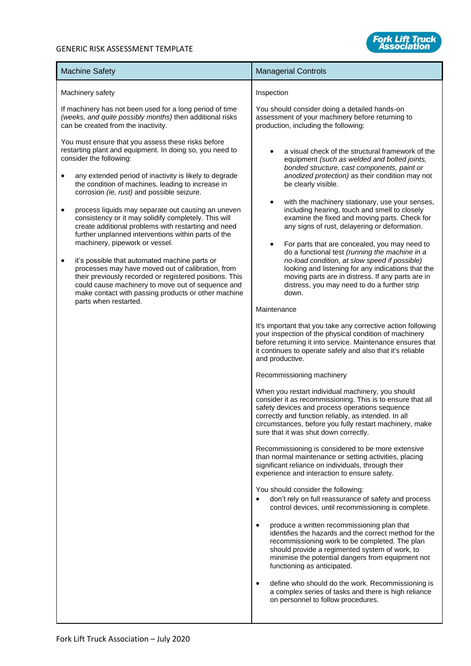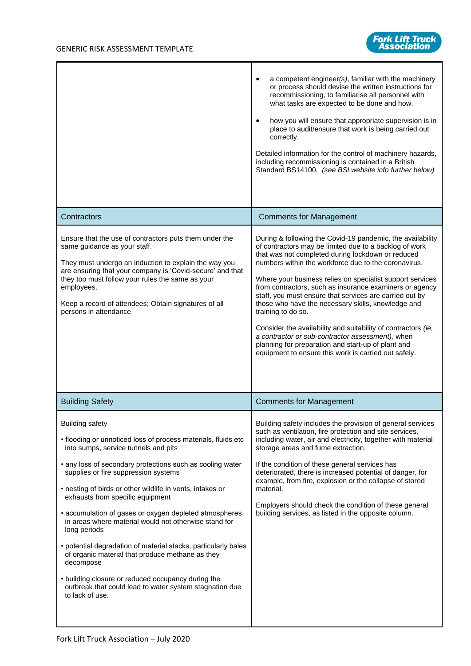

|                                                                                                                                                                                                                                                                                                                                                                                                                                                                                                                                                                                                                                                                                                                                                 | a competent engineer(s), familiar with the machinery<br>or process should devise the written instructions for<br>recommissioning, to familiarise all personnel with<br>what tasks are expected to be done and how.<br>how you will ensure that appropriate supervision is in<br>place to audit/ensure that work is being carried out<br>correctly.<br>Detailed information for the control of machinery hazards,<br>including recommissioning is contained in a British<br>Standard BS14100. (see BSI website info further below)                                                                                                                                                                                                   |
|-------------------------------------------------------------------------------------------------------------------------------------------------------------------------------------------------------------------------------------------------------------------------------------------------------------------------------------------------------------------------------------------------------------------------------------------------------------------------------------------------------------------------------------------------------------------------------------------------------------------------------------------------------------------------------------------------------------------------------------------------|-------------------------------------------------------------------------------------------------------------------------------------------------------------------------------------------------------------------------------------------------------------------------------------------------------------------------------------------------------------------------------------------------------------------------------------------------------------------------------------------------------------------------------------------------------------------------------------------------------------------------------------------------------------------------------------------------------------------------------------|
| Contractors                                                                                                                                                                                                                                                                                                                                                                                                                                                                                                                                                                                                                                                                                                                                     | <b>Comments for Management</b>                                                                                                                                                                                                                                                                                                                                                                                                                                                                                                                                                                                                                                                                                                      |
| Ensure that the use of contractors puts them under the<br>same guidance as your staff.<br>They must undergo an induction to explain the way you<br>are ensuring that your company is 'Covid-secure' and that<br>they too must follow your rules the same as your<br>employees.<br>Keep a record of attendees; Obtain signatures of all<br>persons in attendance.                                                                                                                                                                                                                                                                                                                                                                                | During & following the Covid-19 pandemic, the availability<br>of contractors may be limited due to a backlog of work<br>that was not completed during lockdown or reduced<br>numbers within the workforce due to the coronavirus.<br>Where your business relies on specialist support services<br>from contractors, such as insurance examiners or agency<br>staff, you must ensure that services are carried out by<br>those who have the necessary skills, knowledge and<br>training to do so.<br>Consider the availability and suitability of contractors (ie,<br>a contractor or sub-contractor assessment), when<br>planning for preparation and start-up of plant and<br>equipment to ensure this work is carried out safely. |
| <b>Building Safety</b>                                                                                                                                                                                                                                                                                                                                                                                                                                                                                                                                                                                                                                                                                                                          | <b>Comments for Management</b>                                                                                                                                                                                                                                                                                                                                                                                                                                                                                                                                                                                                                                                                                                      |
| <b>Building safety</b><br>• flooding or unnoticed loss of process materials, fluids etc<br>into sumps, service tunnels and pits<br>• any loss of secondary protections such as cooling water<br>supplies or fire suppression systems<br>• nesting of birds or other wildlife in vents, intakes or<br>exhausts from specific equipment<br>• accumulation of gases or oxygen depleted atmospheres<br>in areas where material would not otherwise stand for<br>long periods<br>• potential degradation of material stacks, particularly bales<br>of organic material that produce methane as they<br>decompose<br>• building closure or reduced occupancy during the<br>outbreak that could lead to water system stagnation due<br>to lack of use. | Building safety includes the provision of general services<br>such as ventilation, fire protection and site services,<br>including water, air and electricity, together with material<br>storage areas and fume extraction.<br>If the condition of these general services has<br>deteriorated, there is increased potential of danger, for<br>example, from fire, explosion or the collapse of stored<br>material.<br>Employers should check the condition of these general<br>building services, as listed in the opposite column.                                                                                                                                                                                                 |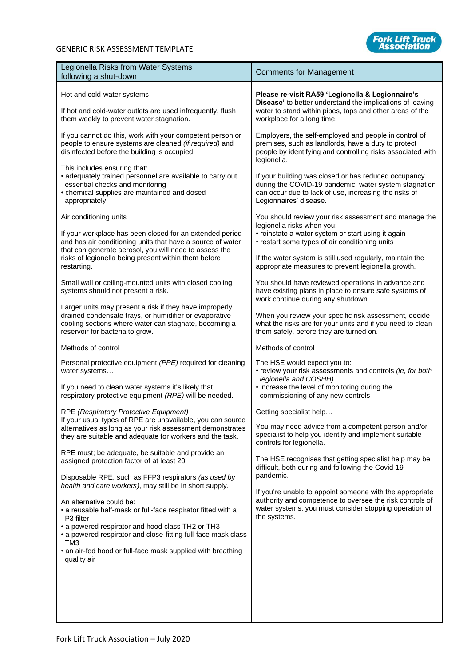

| Legionella Risks from Water Systems<br>following a shut-down                                                                                                                                                                                                                                                                                                                                                                                                                                                                                                                                                                                                                                                                                                          | <b>Comments for Management</b>                                                                                                                                                                                                                                                                                                                                                                                                                                                                     |
|-----------------------------------------------------------------------------------------------------------------------------------------------------------------------------------------------------------------------------------------------------------------------------------------------------------------------------------------------------------------------------------------------------------------------------------------------------------------------------------------------------------------------------------------------------------------------------------------------------------------------------------------------------------------------------------------------------------------------------------------------------------------------|----------------------------------------------------------------------------------------------------------------------------------------------------------------------------------------------------------------------------------------------------------------------------------------------------------------------------------------------------------------------------------------------------------------------------------------------------------------------------------------------------|
| Hot and cold-water systems<br>If hot and cold-water outlets are used infrequently, flush<br>them weekly to prevent water stagnation.                                                                                                                                                                                                                                                                                                                                                                                                                                                                                                                                                                                                                                  | Please re-visit RA59 'Legionella & Legionnaire's<br>Disease' to better understand the implications of leaving<br>water to stand within pipes, taps and other areas of the<br>workplace for a long time.                                                                                                                                                                                                                                                                                            |
| If you cannot do this, work with your competent person or<br>people to ensure systems are cleaned (if required) and<br>disinfected before the building is occupied.                                                                                                                                                                                                                                                                                                                                                                                                                                                                                                                                                                                                   | Employers, the self-employed and people in control of<br>premises, such as landlords, have a duty to protect<br>people by identifying and controlling risks associated with<br>legionella.                                                                                                                                                                                                                                                                                                         |
| This includes ensuring that:<br>• adequately trained personnel are available to carry out<br>essential checks and monitoring<br>• chemical supplies are maintained and dosed<br>appropriately                                                                                                                                                                                                                                                                                                                                                                                                                                                                                                                                                                         | If your building was closed or has reduced occupancy<br>during the COVID-19 pandemic, water system stagnation<br>can occur due to lack of use, increasing the risks of<br>Legionnaires' disease.                                                                                                                                                                                                                                                                                                   |
| Air conditioning units<br>If your workplace has been closed for an extended period<br>and has air conditioning units that have a source of water<br>that can generate aerosol, you will need to assess the<br>risks of legionella being present within them before<br>restarting.                                                                                                                                                                                                                                                                                                                                                                                                                                                                                     | You should review your risk assessment and manage the<br>legionella risks when you:<br>• reinstate a water system or start using it again<br>• restart some types of air conditioning units<br>If the water system is still used regularly, maintain the<br>appropriate measures to prevent legionella growth.                                                                                                                                                                                     |
| Small wall or ceiling-mounted units with closed cooling<br>systems should not present a risk.                                                                                                                                                                                                                                                                                                                                                                                                                                                                                                                                                                                                                                                                         | You should have reviewed operations in advance and<br>have existing plans in place to ensure safe systems of<br>work continue during any shutdown.                                                                                                                                                                                                                                                                                                                                                 |
| Larger units may present a risk if they have improperly<br>drained condensate trays, or humidifier or evaporative<br>cooling sections where water can stagnate, becoming a<br>reservoir for bacteria to grow.                                                                                                                                                                                                                                                                                                                                                                                                                                                                                                                                                         | When you review your specific risk assessment, decide<br>what the risks are for your units and if you need to clean<br>them safely, before they are turned on.                                                                                                                                                                                                                                                                                                                                     |
| Methods of control                                                                                                                                                                                                                                                                                                                                                                                                                                                                                                                                                                                                                                                                                                                                                    | Methods of control                                                                                                                                                                                                                                                                                                                                                                                                                                                                                 |
| Personal protective equipment (PPE) required for cleaning<br>water systems<br>If you need to clean water systems it's likely that<br>respiratory protective equipment (RPE) will be needed.                                                                                                                                                                                                                                                                                                                                                                                                                                                                                                                                                                           | The HSE would expect you to:<br>• review your risk assessments and controls (ie, for both<br>legionella and COSHH)<br>• increase the level of monitoring during the<br>commissioning of any new controls                                                                                                                                                                                                                                                                                           |
| RPE (Respiratory Protective Equipment)<br>If your usual types of RPE are unavailable, you can source<br>alternatives as long as your risk assessment demonstrates<br>they are suitable and adequate for workers and the task.<br>RPE must; be adequate, be suitable and provide an<br>assigned protection factor of at least 20<br>Disposable RPE, such as FFP3 respirators (as used by<br>health and care workers), may still be in short supply.<br>An alternative could be:<br>• a reusable half-mask or full-face respirator fitted with a<br>P3 filter<br>• a powered respirator and hood class TH2 or TH3<br>• a powered respirator and close-fitting full-face mask class<br>TM3<br>• an air-fed hood or full-face mask supplied with breathing<br>quality air | Getting specialist help.<br>You may need advice from a competent person and/or<br>specialist to help you identify and implement suitable<br>controls for legionella.<br>The HSE recognises that getting specialist help may be<br>difficult, both during and following the Covid-19<br>pandemic.<br>If you're unable to appoint someone with the appropriate<br>authority and competence to oversee the risk controls of<br>water systems, you must consider stopping operation of<br>the systems. |
|                                                                                                                                                                                                                                                                                                                                                                                                                                                                                                                                                                                                                                                                                                                                                                       |                                                                                                                                                                                                                                                                                                                                                                                                                                                                                                    |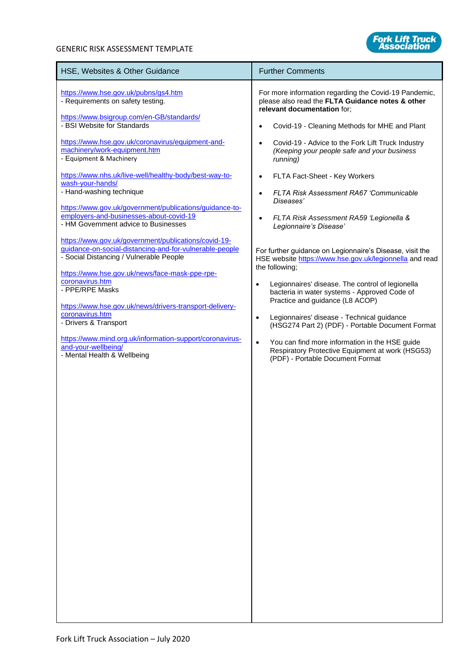

| HSE, Websites & Other Guidance                                                                                                                                                                               | <b>Further Comments</b>                                                                                                                             |
|--------------------------------------------------------------------------------------------------------------------------------------------------------------------------------------------------------------|-----------------------------------------------------------------------------------------------------------------------------------------------------|
| https://www.hse.gov.uk/pubns/gs4.htm<br>- Requirements on safety testing.                                                                                                                                    | For more information regarding the Covid-19 Pandemic,<br>please also read the FLTA Guidance notes & other<br>relevant documentation for;            |
| https://www.bsigroup.com/en-GB/standards/<br>- BSI Website for Standards                                                                                                                                     | Covid-19 - Cleaning Methods for MHE and Plant<br>$\bullet$                                                                                          |
| https://www.hse.gov.uk/coronavirus/equipment-and-<br>machinery/work-equipment.htm<br>- Equipment & Machinery                                                                                                 | Covid-19 - Advice to the Fork Lift Truck Industry<br>$\bullet$<br>(Keeping your people safe and your business<br>running)                           |
| https://www.nhs.uk/live-well/healthy-body/best-way-to-<br>wash-your-hands/                                                                                                                                   | FLTA Fact-Sheet - Key Workers<br>$\bullet$                                                                                                          |
| - Hand-washing technique                                                                                                                                                                                     | FLTA Risk Assessment RA67 'Communicable<br>$\bullet$<br>Diseases'                                                                                   |
| https://www.gov.uk/government/publications/guidance-to-<br>employers-and-businesses-about-covid-19<br>- HM Government advice to Businesses                                                                   | FLTA Risk Assessment RA59 'Legionella &<br>$\bullet$<br>Legionnaire's Disease'                                                                      |
| https://www.gov.uk/government/publications/covid-19-<br>guidance-on-social-distancing-and-for-vulnerable-people<br>- Social Distancing / Vulnerable People<br>https://www.hse.gov.uk/news/face-mask-ppe-rpe- | For further guidance on Legionnaire's Disease, visit the<br>HSE website https://www.hse.gov.uk/legionnella and read<br>the following;               |
| coronavirus.htm<br>- PPE/RPE Masks                                                                                                                                                                           | Legionnaires' disease. The control of legionella<br>$\bullet$<br>bacteria in water systems - Approved Code of<br>Practice and guidance (L8 ACOP)    |
| https://www.hse.gov.uk/news/drivers-transport-delivery-<br>coronavirus.htm<br>- Drivers & Transport                                                                                                          | Legionnaires' disease - Technical guidance<br>$\bullet$<br>(HSG274 Part 2) (PDF) - Portable Document Format                                         |
| https://www.mind.org.uk/information-support/coronavirus-<br>and-your-wellbeing/<br>- Mental Health & Wellbeing                                                                                               | You can find more information in the HSE guide<br>$\bullet$<br>Respiratory Protective Equipment at work (HSG53)<br>(PDF) - Portable Document Format |
|                                                                                                                                                                                                              |                                                                                                                                                     |
|                                                                                                                                                                                                              |                                                                                                                                                     |
|                                                                                                                                                                                                              |                                                                                                                                                     |
|                                                                                                                                                                                                              |                                                                                                                                                     |
|                                                                                                                                                                                                              |                                                                                                                                                     |
|                                                                                                                                                                                                              |                                                                                                                                                     |
|                                                                                                                                                                                                              |                                                                                                                                                     |
|                                                                                                                                                                                                              |                                                                                                                                                     |
|                                                                                                                                                                                                              |                                                                                                                                                     |
|                                                                                                                                                                                                              |                                                                                                                                                     |
|                                                                                                                                                                                                              |                                                                                                                                                     |
|                                                                                                                                                                                                              |                                                                                                                                                     |

H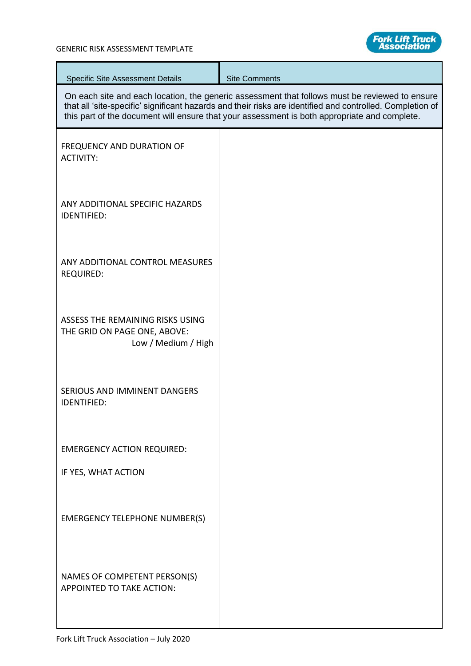

| <b>Specific Site Assessment Details</b>                                                 | <b>Site Comments</b>                                                                                                                                                                                                                                                                                        |
|-----------------------------------------------------------------------------------------|-------------------------------------------------------------------------------------------------------------------------------------------------------------------------------------------------------------------------------------------------------------------------------------------------------------|
|                                                                                         | On each site and each location, the generic assessment that follows must be reviewed to ensure<br>that all 'site-specific' significant hazards and their risks are identified and controlled. Completion of<br>this part of the document will ensure that your assessment is both appropriate and complete. |
| <b>FREQUENCY AND DURATION OF</b><br><b>ACTIVITY:</b>                                    |                                                                                                                                                                                                                                                                                                             |
| ANY ADDITIONAL SPECIFIC HAZARDS<br><b>IDENTIFIED:</b>                                   |                                                                                                                                                                                                                                                                                                             |
| ANY ADDITIONAL CONTROL MEASURES<br><b>REQUIRED:</b>                                     |                                                                                                                                                                                                                                                                                                             |
| ASSESS THE REMAINING RISKS USING<br>THE GRID ON PAGE ONE, ABOVE:<br>Low / Medium / High |                                                                                                                                                                                                                                                                                                             |
| SERIOUS AND IMMINENT DANGERS<br><b>IDENTIFIED:</b>                                      |                                                                                                                                                                                                                                                                                                             |
| <b>EMERGENCY ACTION REQUIRED:</b>                                                       |                                                                                                                                                                                                                                                                                                             |
| IF YES, WHAT ACTION                                                                     |                                                                                                                                                                                                                                                                                                             |
| <b>EMERGENCY TELEPHONE NUMBER(S)</b>                                                    |                                                                                                                                                                                                                                                                                                             |
| NAMES OF COMPETENT PERSON(S)<br>APPOINTED TO TAKE ACTION:                               |                                                                                                                                                                                                                                                                                                             |